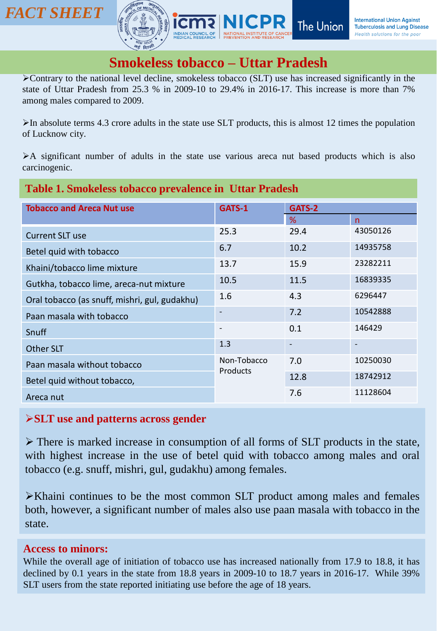



## **Smokeless tobacco – Uttar Pradesh**

➢Contrary to the national level decline, smokeless tobacco (SLT) use has increased significantly in the state of Uttar Pradesh from 25.3 % in 2009-10 to 29.4% in 2016-17. This increase is more than 7% among males compared to 2009.

 $\triangleright$ In absolute terms 4.3 crore adults in the state use SLT products, this is almost 12 times the population of Lucknow city.

➢A significant number of adults in the state use various areca nut based products which is also carcinogenic.

| <b>Table 1. Smokeless tobacco prevalence in Uttar Pradesh</b> |                          |        |          |
|---------------------------------------------------------------|--------------------------|--------|----------|
| <b>Tobacco and Areca Nut use</b>                              | GATS-1                   | GATS-2 |          |
|                                                               |                          | %      | n        |
| <b>Current SLT use</b>                                        | 25.3                     | 29.4   | 43050126 |
| Betel quid with tobacco                                       | 6.7                      | 10.2   | 14935758 |
| Khaini/tobacco lime mixture                                   | 13.7                     | 15.9   | 23282211 |
| Gutkha, tobacco lime, areca-nut mixture                       | 10.5                     | 11.5   | 16839335 |
| Oral tobacco (as snuff, mishri, gul, gudakhu)                 | 1.6                      | 4.3    | 6296447  |
| Paan masala with tobacco                                      |                          | 7.2    | 10542888 |
| Snuff                                                         | $\overline{\phantom{a}}$ | 0.1    | 146429   |
| Other SLT                                                     | 1.3                      |        |          |
| Paan masala without tobacco                                   | Non-Tobacco<br>Products  | 7.0    | 10250030 |
| Betel quid without tobacco,                                   |                          | 12.8   | 18742912 |
| Areca nut                                                     |                          | 7.6    | 11128604 |

#### ➢**SLT use and patterns across gender**

➢ There is marked increase in consumption of all forms of SLT products in the state, with highest increase in the use of betel quid with tobacco among males and oral tobacco (e.g. snuff, mishri, gul, gudakhu) among females.

➢Khaini continues to be the most common SLT product among males and females both, however, a significant number of males also use paan masala with tobacco in the state.

#### **Access to minors:**

While the overall age of initiation of tobacco use has increased nationally from 17.9 to 18.8, it has declined by 0.1 years in the state from 18.8 years in 2009-10 to 18.7 years in 2016-17. While 39% SLT users from the state reported initiating use before the age of 18 years.